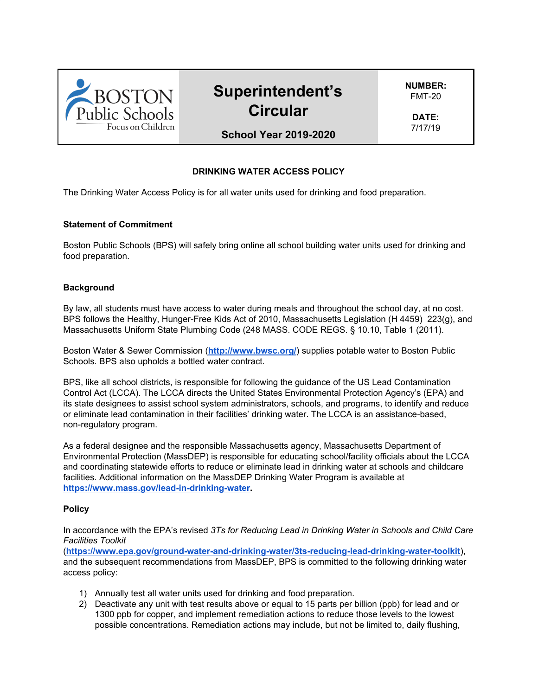

# **Superintendent's Circular**

**NUMBER:** FMT-20

**DATE:** 7/17/19

**School Year 2019-2020**

# **DRINKING WATER ACCESS POLICY**

The Drinking Water Access Policy is for all water units used for drinking and food preparation.

#### **Statement of Commitment**

Boston Public Schools (BPS) will safely bring online all school building water units used for drinking and food preparation.

#### **Background**

By law, all students must have access to water during meals and throughout the school day, at no cost. BPS follows the Healthy, Hunger-Free Kids Act of 2010, Massachusetts Legislation (H 4459) 223(g), and Massachusetts Uniform State Plumbing Code (248 MASS. CODE REGS. § 10.10, Table 1 (2011).

Boston Water & Sewer Commission (**<http://www.bwsc.org/>**) supplies potable water to Boston Public Schools. BPS also upholds a bottled water contract.

BPS, like all school districts, is responsible for following the guidance of the US Lead Contamination Control Act (LCCA). The LCCA directs the United States Environmental Protection Agency's (EPA) and its state designees to assist school system administrators, schools, and programs, to identify and reduce or eliminate lead contamination in their facilities' drinking water. The LCCA is an assistance-based, non-regulatory program.

As a federal designee and the responsible Massachusetts agency, Massachusetts Department of Environmental Protection (MassDEP) is responsible for educating school/facility officials about the LCCA and coordinating statewide efforts to reduce or eliminate lead in drinking water at schools and childcare facilities. Additional information on the MassDEP Drinking Water Program is available at **[https://www.mass.gov/lead-in-drinking-water.](https://www.mass.gov/lead-in-drinking-water)**

#### **Policy**

In accordance with the EPA's revised *3Ts for Reducing Lead in Drinking Water in Schools and Child Care Facilities Toolkit*

(**<https://www.epa.gov/ground-water-and-drinking-water/3ts-reducing-lead-drinking-water-toolkit>**), and the subsequent recommendations from MassDEP, BPS is committed to the following drinking water access policy:

- 1) Annually test all water units used for drinking and food preparation.
- 2) Deactivate any unit with test results above or equal to 15 parts per billion (ppb) for lead and or 1300 ppb for copper, and implement remediation actions to reduce those levels to the lowest possible concentrations. Remediation actions may include, but not be limited to, daily flushing,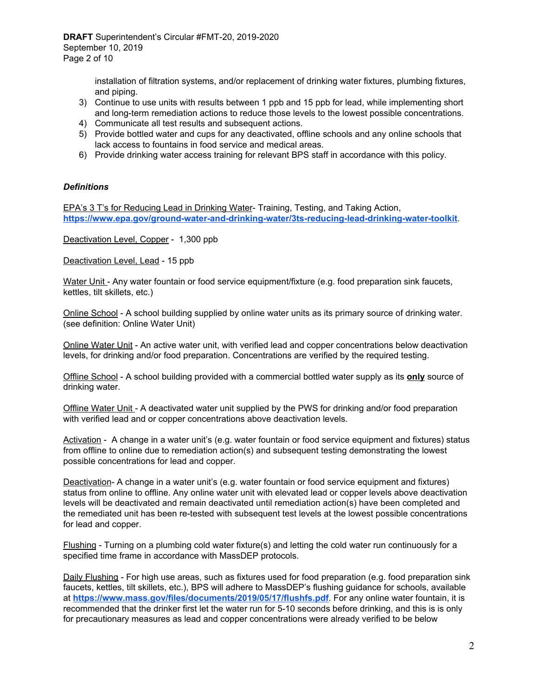installation of filtration systems, and/or replacement of drinking water fixtures, plumbing fixtures, and piping.

- 3) Continue to use units with results between 1 ppb and 15 ppb for lead, while implementing short and long-term remediation actions to reduce those levels to the lowest possible concentrations.
- 4) Communicate all test results and subsequent actions.
- 5) Provide bottled water and cups for any deactivated, offline schools and any online schools that lack access to fountains in food service and medical areas.
- 6) Provide drinking water access training for relevant BPS staff in accordance with this policy.

#### *Definitions*

EPA's 3 T's for Reducing Lead in Drinking Water- Training, Testing, and Taking Action, **<https://www.epa.gov/ground-water-and-drinking-water/3ts-reducing-lead-drinking-water-toolkit>**.

Deactivation Level, Copper - 1,300 ppb

Deactivation Level, Lead - 15 ppb

Water Unit - Any water fountain or food service equipment/fixture (e.g. food preparation sink faucets, kettles, tilt skillets, etc.)

Online School - A school building supplied by online water units as its primary source of drinking water. (see definition: Online Water Unit)

Online Water Unit - An active water unit, with verified lead and copper concentrations below deactivation levels, for drinking and/or food preparation. Concentrations are verified by the required testing.

Offline School - A school building provided with a commercial bottled water supply as its **only** source of drinking water.

Offline Water Unit - A deactivated water unit supplied by the PWS for drinking and/or food preparation with verified lead and or copper concentrations above deactivation levels.

Activation - A change in a water unit's (e.g. water fountain or food service equipment and fixtures) status from offline to online due to remediation action(s) and subsequent testing demonstrating the lowest possible concentrations for lead and copper.

Deactivation- A change in a water unit's (e.g. water fountain or food service equipment and fixtures) status from online to offline. Any online water unit with elevated lead or copper levels above deactivation levels will be deactivated and remain deactivated until remediation action(s) have been completed and the remediated unit has been re-tested with subsequent test levels at the lowest possible concentrations for lead and copper.

Flushing - Turning on a plumbing cold water fixture(s) and letting the cold water run continuously for a specified time frame in accordance with MassDEP protocols.

Daily Flushing - For high use areas, such as fixtures used for food preparation (e.g. food preparation sink faucets, kettles, tilt skillets, etc.), BPS will adhere to MassDEP's flushing guidance for schools, available at **<https://www.mass.gov/files/documents/2019/05/17/flushfs.pdf>**. For any online water fountain, it is recommended that the drinker first let the water run for 5-10 seconds before drinking, and this is is only for precautionary measures as lead and copper concentrations were already verified to be below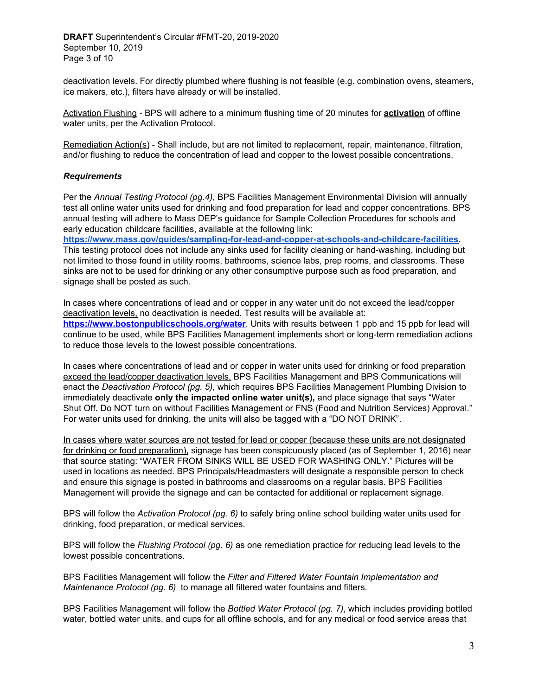**DRAFT** Superintendent's Circular #FMT-20, 2019-2020 September 10, 2019 Page 3 of 10

deactivation levels. For directly plumbed where flushing is not feasible (e.g. combination ovens, steamers, ice makers, etc.), filters have already or will be installed.

Activation Flushing - BPS will adhere to a minimum flushing time of 20 minutes for **activation** of offline water units, per the Activation Protocol.

Remediation Action(s) - Shall include, but are not limited to replacement, repair, maintenance, filtration, and/or flushing to reduce the concentration of lead and copper to the lowest possible concentrations.

#### *Requirements*

Per the *Annual Testing Protocol (pg.4)*, BPS Facilities Management Environmental Division will annually test all online water units used for drinking and food preparation for lead and copper concentrations. BPS annual testing will adhere to Mass DEP's guidance for Sample Collection Procedures for schools and early education childcare facilities, available at the following link:

**<https://www.mass.gov/guides/sampling-for-lead-and-copper-at-schools-and-childcare-facilities>**. This testing protocol does not include any sinks used for facility cleaning or hand-washing, including but not limited to those found in utility rooms, bathrooms, science labs, prep rooms, and classrooms. These sinks are not to be used for drinking or any other consumptive purpose such as food preparation, and signage shall be posted as such.

In cases where concentrations of lead and or copper in any water unit do not exceed the lead/copper deactivation levels, no deactivation is needed. Test results will be available at:

**<https://www.bostonpublicschools.org/water>**. Units with results between 1 ppb and 15 ppb for lead will continue to be used, while BPS Facilities Management implements short or long-term remediation actions to reduce those levels to the lowest possible concentrations.

In cases where concentrations of lead and or copper in water units used for drinking or food preparation exceed the lead/copper deactivation levels, BPS Facilities Management and BPS Communications will enact the *Deactivation Protocol (pg. 5)*, which requires BPS Facilities Management Plumbing Division to immediately deactivate **only the impacted online water unit(s),** and place signage that says "Water Shut Off. Do NOT turn on without Facilities Management or FNS (Food and Nutrition Services) Approval." For water units used for drinking, the units will also be tagged with a "DO NOT DRINK".

In cases where water sources are not tested for lead or copper (because these units are not designated for drinking or food preparation), signage has been conspicuously placed (as of September 1, 2016) near that source stating: "WATER FROM SINKS WILL BE USED FOR WASHING ONLY." Pictures will be used in locations as needed. BPS Principals/Headmasters will designate a responsible person to check and ensure this signage is posted in bathrooms and classrooms on a regular basis. BPS Facilities Management will provide the signage and can be contacted for additional or replacement signage.

BPS will follow the *Activation Protocol (pg. 6)* to safely bring online school building water units used for drinking, food preparation, or medical services.

BPS will follow the *Flushing Protocol (pg. 6)* as one remediation practice for reducing lead levels to the lowest possible concentrations.

BPS Facilities Management will follow the *Filter and Filtered Water Fountain Implementation and Maintenance Protocol (pg. 6)* to manage all filtered water fountains and filters.

BPS Facilities Management will follow the *Bottled Water Protocol (pg. 7)*, which includes providing bottled water, bottled water units, and cups for all offline schools, and for any medical or food service areas that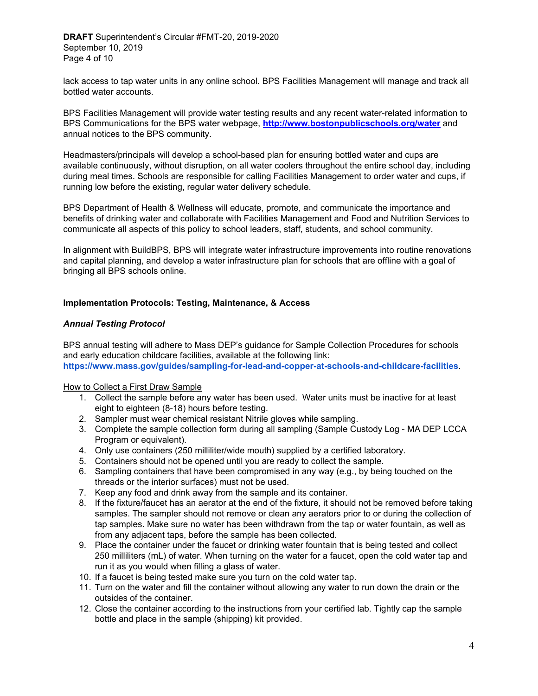lack access to tap water units in any online school. BPS Facilities Management will manage and track all bottled water accounts.

BPS Facilities Management will provide water testing results and any recent water-related information to BPS Communications for the BPS water webpage, **[http://www.bostonpublicschools.org/water](http://bostonpublicschools.org/water)** and annual notices to the BPS community.

Headmasters/principals will develop a school-based plan for ensuring bottled water and cups are available continuously, without disruption, on all water coolers throughout the entire school day, including during meal times. Schools are responsible for calling Facilities Management to order water and cups, if running low before the existing, regular water delivery schedule.

BPS Department of Health & Wellness will educate, promote, and communicate the importance and benefits of drinking water and collaborate with Facilities Management and Food and Nutrition Services to communicate all aspects of this policy to school leaders, staff, students, and school community.

In alignment with BuildBPS, BPS will integrate water infrastructure improvements into routine renovations and capital planning, and develop a water infrastructure plan for schools that are offline with a goal of bringing all BPS schools online.

## **Implementation Protocols: Testing, Maintenance, & Access**

## *Annual Testing Protocol*

BPS annual testing will adhere to Mass DEP's guidance for Sample Collection Procedures for schools and early education childcare facilities, available at the following link: **<https://www.mass.gov/guides/sampling-for-lead-and-copper-at-schools-and-childcare-facilities>**.

#### How to Collect a First Draw Sample

- 1. Collect the sample before any water has been used. Water units must be inactive for at least eight to eighteen (8-18) hours before testing.
- 2. Sampler must wear chemical resistant Nitrile gloves while sampling.
- 3. Complete the sample collection form during all sampling (Sample Custody Log MA DEP LCCA Program or equivalent).
- 4. Only use containers (250 milliliter/wide mouth) supplied by a certified laboratory.
- 5. Containers should not be opened until you are ready to collect the sample.
- 6. Sampling containers that have been compromised in any way (e.g., by being touched on the threads or the interior surfaces) must not be used.
- 7. Keep any food and drink away from the sample and its container.
- 8. If the fixture/faucet has an aerator at the end of the fixture, it should not be removed before taking samples. The sampler should not remove or clean any aerators prior to or during the collection of tap samples. Make sure no water has been withdrawn from the tap or water fountain, as well as from any adjacent taps, before the sample has been collected.
- 9. Place the container under the faucet or drinking water fountain that is being tested and collect 250 milliliters (mL) of water. When turning on the water for a faucet, open the cold water tap and run it as you would when filling a glass of water.
- 10. If a faucet is being tested make sure you turn on the cold water tap.
- 11. Turn on the water and fill the container without allowing any water to run down the drain or the outsides of the container.
- 12. Close the container according to the instructions from your certified lab. Tightly cap the sample bottle and place in the sample (shipping) kit provided.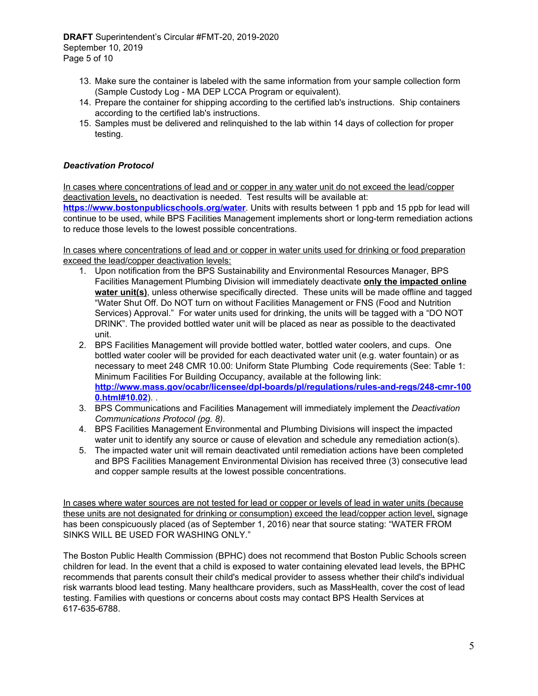- 13. Make sure the container is labeled with the same information from your sample collection form (Sample Custody Log - MA DEP LCCA Program or equivalent).
- 14. Prepare the container for shipping according to the certified lab's instructions. Ship containers according to the certified lab's instructions.
- 15. Samples must be delivered and relinquished to the lab within 14 days of collection for proper testing.

## *Deactivation Protocol*

In cases where concentrations of lead and or copper in any water unit do not exceed the lead/copper deactivation levels, no deactivation is needed. Test results will be available at:

**<https://www.bostonpublicschools.org/water>**. Units with results between 1 ppb and 15 ppb for lead will continue to be used, while BPS Facilities Management implements short or long-term remediation actions to reduce those levels to the lowest possible concentrations.

In cases where concentrations of lead and or copper in water units used for drinking or food preparation exceed the lead/copper deactivation levels:

- 1. Upon notification from the BPS Sustainability and Environmental Resources Manager, BPS Facilities Management Plumbing Division will immediately deactivate **only the impacted online water unit(s)**, unless otherwise specifically directed. These units will be made offline and tagged "Water Shut Off. Do NOT turn on without Facilities Management or FNS (Food and Nutrition Services) Approval." For water units used for drinking, the units will be tagged with a "DO NOT DRINK". The provided bottled water unit will be placed as near as possible to the deactivated unit.
- 2. BPS Facilities Management will provide bottled water, bottled water coolers, and cups. One bottled water cooler will be provided for each deactivated water unit (e.g. water fountain) or as necessary to meet 248 CMR 10.00: Uniform State Plumbing Code requirements (See: Table 1: Minimum Facilities For Building Occupancy, available at the following link: **[http://www.mass.gov/ocabr/licensee/dpl-boards/pl/regulations/rules-and-regs/248-cmr-100](http://www.mass.gov/ocabr/licensee/dpl-boards/pl/regulations/rules-and-regs/248-cmr-1000.html#10.02) [0.html#10.02](http://www.mass.gov/ocabr/licensee/dpl-boards/pl/regulations/rules-and-regs/248-cmr-1000.html#10.02)**). .
- 3. BPS Communications and Facilities Management will immediately implement the *Deactivation Communications Protocol (pg. 8)*.
- 4. BPS Facilities Management Environmental and Plumbing Divisions will inspect the impacted water unit to identify any source or cause of elevation and schedule any remediation action(s).
- 5. The impacted water unit will remain deactivated until remediation actions have been completed and BPS Facilities Management Environmental Division has received three (3) consecutive lead and copper sample results at the lowest possible concentrations.

In cases where water sources are not tested for lead or copper or levels of lead in water units (because these units are not designated for drinking or consumption) exceed the lead/copper action level, signage has been conspicuously placed (as of September 1, 2016) near that source stating: "WATER FROM SINKS WILL BE USED FOR WASHING ONLY."

The Boston Public Health Commission (BPHC) does not recommend that Boston Public Schools screen children for lead. In the event that a child is exposed to water containing elevated lead levels, the BPHC recommends that parents consult their child's medical provider to assess whether their child's individual risk warrants blood lead testing. Many healthcare providers, such as MassHealth, cover the cost of lead testing. Families with questions or concerns about costs may contact BPS Health Services at 617-635-6788.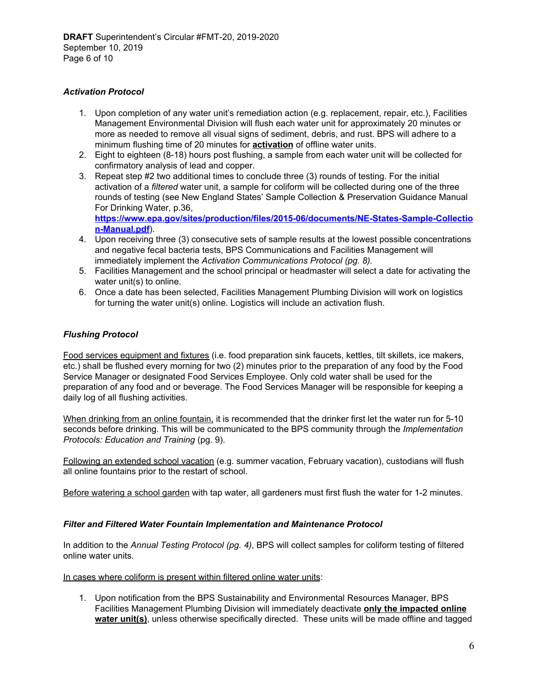## *Activation Protocol*

- 1. Upon completion of any water unit's remediation action (e.g. replacement, repair, etc.), Facilities Management Environmental Division will flush each water unit for approximately 20 minutes or more as needed to remove all visual signs of sediment, debris, and rust. BPS will adhere to a minimum flushing time of 20 minutes for **activation** of offline water units.
- 2. Eight to eighteen (8-18) hours post flushing, a sample from each water unit will be collected for confirmatory analysis of lead and copper.
- 3. Repeat step #2 two additional times to conclude three (3) rounds of testing. For the initial activation of a *filtered* water unit, a sample for coliform will be collected during one of the three rounds of testing (see New England States' Sample Collection & Preservation Guidance Manual For Drinking Water, p.36,

**[https://www.epa.gov/sites/production/files/2015-06/documents/NE-States-Sample-Collectio](https://www.epa.gov/sites/production/files/2015-06/documents/NE-States-Sample-Collection-Manual.pdf) [n-Manual.pdf](https://www.epa.gov/sites/production/files/2015-06/documents/NE-States-Sample-Collection-Manual.pdf)**).

- 4. Upon receiving three (3) consecutive sets of sample results at the lowest possible concentrations and negative fecal bacteria tests, BPS Communications and Facilities Management will immediately implement the *Activation Communications Protocol (pg. 8).*
- 5. Facilities Management and the school principal or headmaster will select a date for activating the water unit(s) to online.
- 6. Once a date has been selected, Facilities Management Plumbing Division will work on logistics for turning the water unit(s) online. Logistics will include an activation flush.

## *Flushing Protocol*

Food services equipment and fixtures (i.e. food preparation sink faucets, kettles, tilt skillets, ice makers, etc.) shall be flushed every morning for two (2) minutes prior to the preparation of any food by the Food Service Manager or designated Food Services Employee. Only cold water shall be used for the preparation of any food and or beverage. The Food Services Manager will be responsible for keeping a daily log of all flushing activities.

When drinking from an online fountain, it is recommended that the drinker first let the water run for 5-10 seconds before drinking. This will be communicated to the BPS community through the *Implementation Protocols: Education and Training* (pg. 9).

Following an extended school vacation (e.g. summer vacation, February vacation), custodians will flush all online fountains prior to the restart of school.

Before watering a school garden with tap water, all gardeners must first flush the water for 1-2 minutes.

## *Filter and Filtered Water Fountain Implementation and Maintenance Protocol*

In addition to the *Annual Testing Protocol (pg. 4)*, BPS will collect samples for coliform testing of filtered online water units.

In cases where coliform is present within filtered online water units:

1. Upon notification from the BPS Sustainability and Environmental Resources Manager, BPS Facilities Management Plumbing Division will immediately deactivate **only the impacted online water unit(s)**, unless otherwise specifically directed. These units will be made offline and tagged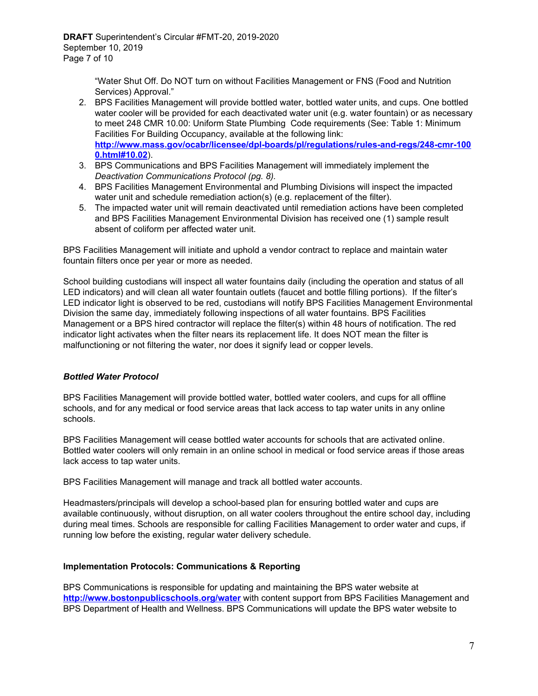"Water Shut Off. Do NOT turn on without Facilities Management or FNS (Food and Nutrition Services) Approval."

- 2. BPS Facilities Management will provide bottled water, bottled water units, and cups. One bottled water cooler will be provided for each deactivated water unit (e.g. water fountain) or as necessary to meet 248 CMR 10.00: Uniform State Plumbing Code requirements (See: Table 1: Minimum Facilities For Building Occupancy, available at the following link: **[http://www.mass.gov/ocabr/licensee/dpl-boards/pl/regulations/rules-and-regs/248-cmr-100](http://www.mass.gov/ocabr/licensee/dpl-boards/pl/regulations/rules-and-regs/248-cmr-1000.html#10.02) [0.html#10.02](http://www.mass.gov/ocabr/licensee/dpl-boards/pl/regulations/rules-and-regs/248-cmr-1000.html#10.02)**).
- 3. BPS Communications and BPS Facilities Management will immediately implement the *Deactivation Communications Protocol (pg. 8).*
- 4. BPS Facilities Management Environmental and Plumbing Divisions will inspect the impacted water unit and schedule remediation action(s) (e.g. replacement of the filter).
- 5. The impacted water unit will remain deactivated until remediation actions have been completed and BPS Facilities Management Environmental Division has received one (1) sample result absent of coliform per affected water unit.

BPS Facilities Management will initiate and uphold a vendor contract to replace and maintain water fountain filters once per year or more as needed.

School building custodians will inspect all water fountains daily (including the operation and status of all LED indicators) and will clean all water fountain outlets (faucet and bottle filling portions). If the filter's LED indicator light is observed to be red, custodians will notify BPS Facilities Management Environmental Division the same day, immediately following inspections of all water fountains. BPS Facilities Management or a BPS hired contractor will replace the filter(s) within 48 hours of notification. The red indicator light activates when the filter nears its replacement life. It does NOT mean the filter is malfunctioning or not filtering the water, nor does it signify lead or copper levels.

## *Bottled Water Protocol*

BPS Facilities Management will provide bottled water, bottled water coolers, and cups for all offline schools, and for any medical or food service areas that lack access to tap water units in any online schools.

BPS Facilities Management will cease bottled water accounts for schools that are activated online. Bottled water coolers will only remain in an online school in medical or food service areas if those areas lack access to tap water units.

BPS Facilities Management will manage and track all bottled water accounts.

Headmasters/principals will develop a school-based plan for ensuring bottled water and cups are available continuously, without disruption, on all water coolers throughout the entire school day, including during meal times. Schools are responsible for calling Facilities Management to order water and cups, if running low before the existing, regular water delivery schedule.

## **Implementation Protocols: Communications & Reporting**

BPS Communications is responsible for updating and maintaining the BPS water website at **<http://www.bostonpublicschools.org/water>** with content support from BPS Facilities Management and BPS Department of Health and Wellness. BPS Communications will update the BPS water website to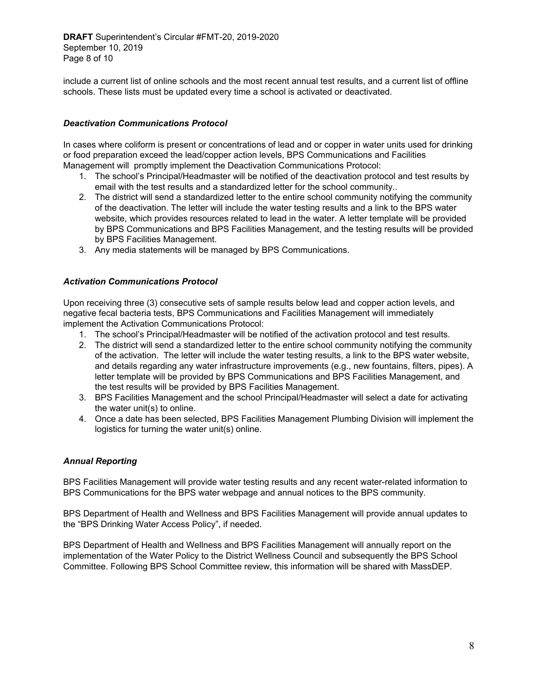**DRAFT** Superintendent's Circular #FMT-20, 2019-2020 September 10, 2019 Page 8 of 10

include a current list of online schools and the most recent annual test results, and a current list of offline schools. These lists must be updated every time a school is activated or deactivated.

## *Deactivation Communications Protocol*

In cases where coliform is present or concentrations of lead and or copper in water units used for drinking or food preparation exceed the lead/copper action levels, BPS Communications and Facilities Management will promptly implement the Deactivation Communications Protocol:

- 1. The school's Principal/Headmaster will be notified of the deactivation protocol and test results by email with the test results and a standardized letter for the school community..
- 2. The district will send a standardized letter to the entire school community notifying the community of the deactivation. The letter will include the water testing results and a link to the BPS water website, which provides resources related to lead in the water. A letter template will be provided by BPS Communications and BPS Facilities Management, and the testing results will be provided by BPS Facilities Management.
- 3. Any media statements will be managed by BPS Communications.

#### *Activation Communications Protocol*

Upon receiving three (3) consecutive sets of sample results below lead and copper action levels, and negative fecal bacteria tests, BPS Communications and Facilities Management will immediately implement the Activation Communications Protocol:

- 1. The school's Principal/Headmaster will be notified of the activation protocol and test results.
- 2. The district will send a standardized letter to the entire school community notifying the community of the activation. The letter will include the water testing results, a link to the BPS water website, and details regarding any water infrastructure improvements (e.g., new fountains, filters, pipes). A letter template will be provided by BPS Communications and BPS Facilities Management, and the test results will be provided by BPS Facilities Management.
- 3. BPS Facilities Management and the school Principal/Headmaster will select a date for activating the water unit(s) to online.
- 4. Once a date has been selected, BPS Facilities Management Plumbing Division will implement the logistics for turning the water unit(s) online.

## *Annual Reporting*

BPS Facilities Management will provide water testing results and any recent water-related information to BPS Communications for the BPS water webpage and annual notices to the BPS community.

BPS Department of Health and Wellness and BPS Facilities Management will provide annual updates to the "BPS Drinking Water Access Policy", if needed.

BPS Department of Health and Wellness and BPS Facilities Management will annually report on the implementation of the Water Policy to the District Wellness Council and subsequently the BPS School Committee. Following BPS School Committee review, this information will be shared with MassDEP.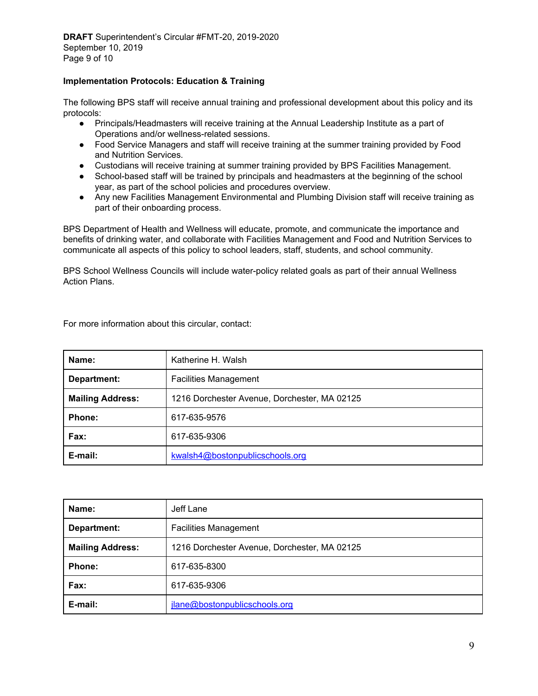## **Implementation Protocols: Education & Training**

The following BPS staff will receive annual training and professional development about this policy and its protocols:

- Principals/Headmasters will receive training at the Annual Leadership Institute as a part of Operations and/or wellness-related sessions.
- Food Service Managers and staff will receive training at the summer training provided by Food and Nutrition Services.
- Custodians will receive training at summer training provided by BPS Facilities Management.
- School-based staff will be trained by principals and headmasters at the beginning of the school year, as part of the school policies and procedures overview.
- Any new Facilities Management Environmental and Plumbing Division staff will receive training as part of their onboarding process.

BPS Department of Health and Wellness will educate, promote, and communicate the importance and benefits of drinking water, and collaborate with Facilities Management and Food and Nutrition Services to communicate all aspects of this policy to school leaders, staff, students, and school community.

BPS School Wellness Councils will include water-policy related goals as part of their annual Wellness Action Plans.

For more information about this circular, contact:

| Name:                   | Katherine H. Walsh                           |
|-------------------------|----------------------------------------------|
| Department:             | <b>Facilities Management</b>                 |
| <b>Mailing Address:</b> | 1216 Dorchester Avenue, Dorchester, MA 02125 |
| <b>Phone:</b>           | 617-635-9576                                 |
| Fax:                    | 617-635-9306                                 |
| E-mail:                 | kwalsh4@bostonpublicschools.org              |

| Name:                   | Jeff Lane                                    |
|-------------------------|----------------------------------------------|
| Department:             | <b>Facilities Management</b>                 |
| <b>Mailing Address:</b> | 1216 Dorchester Avenue, Dorchester, MA 02125 |
| Phone:                  | 617-635-8300                                 |
| Fax:                    | 617-635-9306                                 |
| E-mail:                 | jlane@bostonpublicschools.org                |